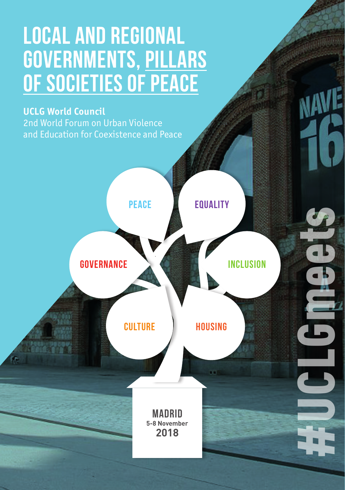# **LOCAL AND REGIONAL GOVERNMENTS, pillars of societies of peace**

## **UCLG World Council**

2nd World Forum on Urban Violence and Education for Coexistence and Peace

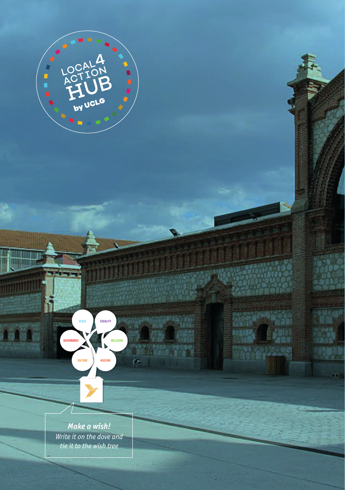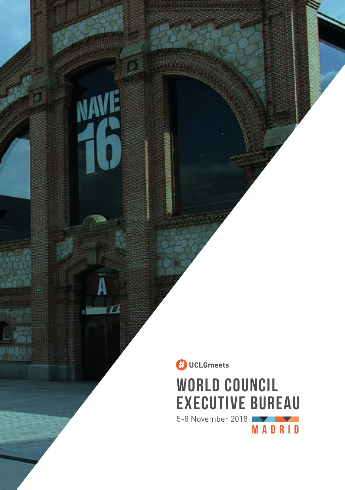

再调

NAVE

A

m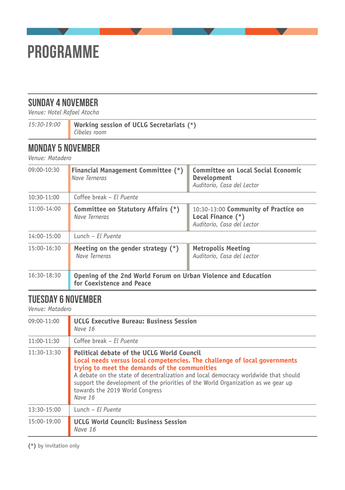

# **SUNDAY 4 NOVEMBER**

*Venue: Hotel Rafael Atocha*

| Working session of UCLG Secretariats (*)<br>15:30-19:00<br>Cibeles room |
|-------------------------------------------------------------------------|
|-------------------------------------------------------------------------|

 $\blacksquare$ 

# **MONDAY 5 NOVEMBER**

*Venue: Matadero*

| 09:00-10:30   | <b>Financial Management Committee (*)</b><br>Nave Terneras                                  | <b>Committee on Local Social Economic</b><br>Development<br>Auditorio, Casa del Lector  |
|---------------|---------------------------------------------------------------------------------------------|-----------------------------------------------------------------------------------------|
| 10:30-11:00   | Coffee break - El Puente                                                                    |                                                                                         |
| $11:00-14:00$ | Committee on Statutory Affairs (*)<br>Nave Terneras                                         | 10:30-13:00 Community of Practice on<br>Local Finance (*)<br>Auditorio, Casa del Lector |
| 14:00-15:00   | Lunch - El Puente                                                                           |                                                                                         |
| 15:00-16:30   | Meeting on the gender strategy $(*)$<br>Nave Terneras                                       | <b>Metropolis Meeting</b><br>Auditorio, Casa del Lector                                 |
| 16:30-18:30   | Opening of the 2nd World Forum on Urban Violence and Education<br>for Coexistence and Peace |                                                                                         |

# **TUESDAY 6 NOVEMBER**

*Venue: Matadero*

| 09:00-11:00 | <b>UCLG Executive Bureau: Business Session</b><br>Nave 16                                                                                                                                                                                                                                                                                                                                          |  |
|-------------|----------------------------------------------------------------------------------------------------------------------------------------------------------------------------------------------------------------------------------------------------------------------------------------------------------------------------------------------------------------------------------------------------|--|
| 11:00-11:30 | Coffee break - El Puente                                                                                                                                                                                                                                                                                                                                                                           |  |
| 11:30-13:30 | Political debate of the UCLG World Council<br>Local needs versus local competencies. The challenge of local governments<br>trying to meet the demands of the communities<br>A debate on the state of decentralization and local democracy worldwide that should<br>support the development of the priorities of the World Organization as we gear up<br>towards the 2019 World Congress<br>Nave 16 |  |
| 13:30-15:00 | Lunch - El Puente                                                                                                                                                                                                                                                                                                                                                                                  |  |
| 15:00-19:00 | <b>UCLG World Council: Business Session</b><br>Nave 16                                                                                                                                                                                                                                                                                                                                             |  |

**(\*)** by invitation only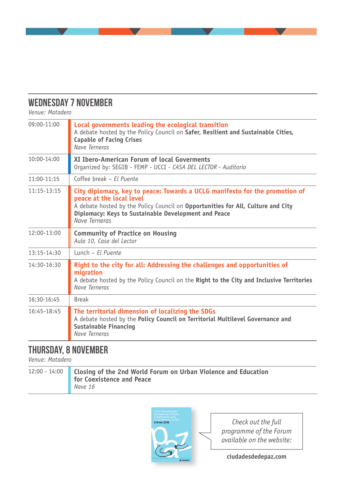## **WEDNESDAY 7 NOVEMBER**

*Venue: Matadero*

| $09:00 - 11:00$ | Local governments leading the ecological transition<br>A debate hosted by the Policy Council on Safer, Resilient and Sustainable Cities,<br><b>Capable of Facing Crises</b><br>Nave Terneras                                                                         |  |
|-----------------|----------------------------------------------------------------------------------------------------------------------------------------------------------------------------------------------------------------------------------------------------------------------|--|
| $10:00 - 14:00$ | XI Ibero-American Forum of local Goverments<br>Organized by: SEGIB - FEMP - UCCI - CASA DEL LECTOR - Auditorio                                                                                                                                                       |  |
| $11:00 - 11:15$ | Coffee break - Fl Puente                                                                                                                                                                                                                                             |  |
| $11:15 - 13:15$ | City diplomacy, key to peace: Towards a UCLG manifesto for the promotion of<br>peace at the local level<br>A debate hosted by the Policy Council on Opportunities for All, Culture and City<br>Diplomacy: Keys to Sustainable Development and Peace<br>Nave Terneras |  |
| 12:00-13:00     | <b>Community of Practice on Housing</b><br>Aula 10, Casa del Lector                                                                                                                                                                                                  |  |
| 13:15-14:30     | $l$ unch – Fl Puente                                                                                                                                                                                                                                                 |  |
| 14:30-16:30     | Right to the city for all: Addressing the challenges and opportunities of<br>migration<br>A debate hosted by the Policy Council on the Right to the City and Inclusive Territories<br>Nave Terneras                                                                  |  |
| $16:30-16:45$   | <b>Break</b>                                                                                                                                                                                                                                                         |  |
| 16:45-18:45     | The territorial dimension of localizing the SDGs<br>A debate hosted by the Policy Council on Territorial Multilevel Governance and<br>Sustainable Financing<br>Nave Terneras                                                                                         |  |

# **THURSDAY, 8 NOVEMBER**

*Venue: Matadero*

| 12:00 - 14:00 Closing of the 2nd World Forum on Urban Violence and Education<br>for Coexistence and Peace |
|-----------------------------------------------------------------------------------------------------------|
| Nave 16                                                                                                   |



*Check out the full programme of the Forum available on the website:*

**ciudadesdedepaz.com**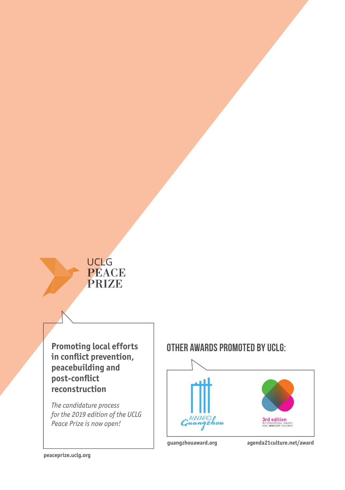# **UCLG PEACE** PRIZE

**in conflict prevention, peacebuilding and post-conflict reconstruction**

*The candidature process for the 2019 edition of the UCLG Peace Prize is now open!*

# **Promoting local efforts | OTHER AWARDS PROMOTED BY UCLG:**



**guangzhouaward.org agenda21culture.net/award**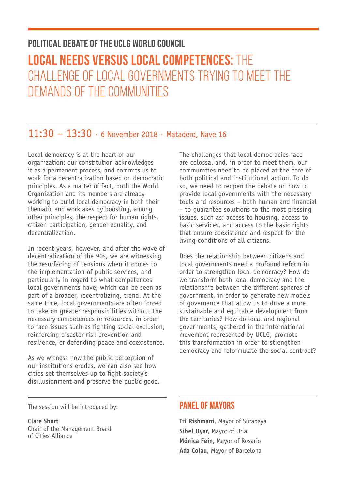# **POLITICAL DEBATE OF THE UCLG WORLD COUNCIL LOCAL NEEDS VERSUS LOCAL COMPETENCES:** THE CHALLENGE OF LOCAL GOVERNMENTS TRYING TO MEET THE DEMANDS OF THE COMMUNITIES

# 11:30 – 13:30 · 6 November 2018 · Matadero, Nave 16

Local democracy is at the heart of our organization: our constitution acknowledges it as a permanent process, and commits us to work for a decentralization based on democratic principles. As a matter of fact, both the World Organization and its members are already working to build local democracy in both their thematic and work axes by boosting, among other principles, the respect for human rights, citizen participation, gender equality, and decentralization.

In recent years, however, and after the wave of decentralization of the 90s, we are witnessing the resurfacing of tensions when it comes to the implementation of public services, and particularly in regard to what competences local governments have, which can be seen as part of a broader, recentralizing, trend. At the same time, local governments are often forced to take on greater responsibilities without the necessary competences or resources, in order to face issues such as fighting social exclusion, reinforcing disaster risk prevention and resilience, or defending peace and coexistence.

As we witness how the public perception of our institutions erodes, we can also see how cities set themselves up to fight society's disillusionment and preserve the public good. The challenges that local democracies face are colossal and, in order to meet them, our communities need to be placed at the core of both political and institutional action. To do so, we need to reopen the debate on how to provide local governments with the necessary tools and resources – both human and financial – to guarantee solutions to the most pressing issues, such as: access to housing, access to basic services, and access to the basic rights that ensure coexistence and respect for the living conditions of all citizens.

Does the relationship between citizens and local governments need a profound reform in order to strengthen local democracy? How do we transform both local democracy and the relationship between the different spheres of government, in order to generate new models of governance that allow us to drive a more sustainable and equitable development from the territories? How do local and regional governments, gathered in the international movement represented by UCLG, promote this transformation in order to strengthen democracy and reformulate the social contract?

The session will be introduced by:

**Clare Short** Chair of the Management Board of Cities Alliance

### **PANEL OF MAYORS**

**Tri Rishmani,** Mayor of Surabaya **Sibel Uyar,** Mayor of Urla **Mónica Fein,** Mayor of Rosario **Ada Colau,** Mayor of Barcelona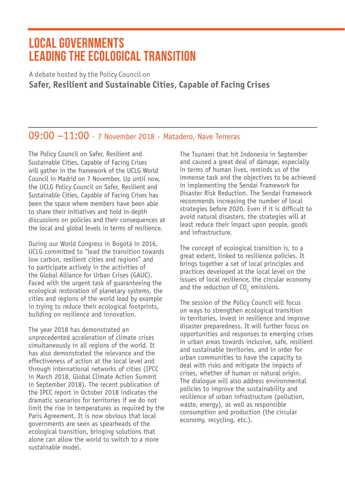# **LOCAL GOVERNMENTS LEADING THE ECOLOGICAL TRANSITION**

A debate hosted by the Policy Council on **Safer, Resilient and Sustainable Cities, Capable of Facing Crises**

## 09:00 –11:00 · 7 November 2018 · Matadero, Nave Terreras

The Policy Council on Safer, Resilient and Sustainable Cities, Capable of Facing Crises will gather in the framework of the UCLG World Council in Madrid on 7 November. Up until now, the UCLG Policy Council on Safer, Resilient and Sustainable Cities, Capable of Facing Crises has been the space where members have been able to share their initiatives and hold in-depth discussions on policies and their consequences at the local and global levels in terms of resilience.

During our World Congress in Bogotá in 2016, UCLG committed to "lead the transition towards low carbon, resilient cities and regions" and to participate actively in the activities of the Global Alliance for Urban Crises (GAUC). Faced with the urgent task of guaranteeing the ecological restoration of planetary systems, the cities and regions of the world lead by example in trying to reduce their ecological footprints, building on resilience and innovation.

The year 2018 has demonstrated an unprecedented acceleration of climate crises simultaneously in all regions of the world. It has also demonstrated the relevance and the effectiveness of action at the local level and through international networks of cities (IPCC in March 2018, Global Climate Action Summit in September 2018). The recent publication of the IPCC report in October 2018 indicates the dramatic scenarios for territories if we do not limit the rise in temperatures as required by the Paris Agreement. It is now obvious that local governments are seen as spearheads of the ecological transition, bringing solutions that alone can allow the world to switch to a more sustainable model.

The Tsunami that hit Indonesia in September and caused a great deal of damage, especially in terms of human lives, reminds us of the immense task and the objectives to be achieved in implementing the Sendai Framework for Disaster Risk Reduction. The Sendai Framework recommends increasing the number of local strategies before 2020. Even if it is difficult to avoid natural disasters, the strategies will at least reduce their impact upon people, goods and infrastructure.

The concept of ecological transition is, to a great extent, linked to resilience policies. It brings together a set of local principles and practices developed at the local level on the issues of local resilience, the circular economy and the reduction of  $CO<sub>2</sub>$  emissions.

The session of the Policy Council will focus on ways to strengthen ecological transition in territories, invest in resilience and improve disaster preparedness. It will further focus on opportunities and responses to emerging crises in urban areas towards inclusive, safe, resilient and sustainable territories, and in order for urban communities to have the capacity to deal with risks and mitigate the impacts of crises, whether of human or natural origin. The dialogue will also address environmental policies to improve the sustainability and resilience of urban infrastructure (pollution, waste, energy), as well as responsible consumption and production (the circular economy, recycling, etc.).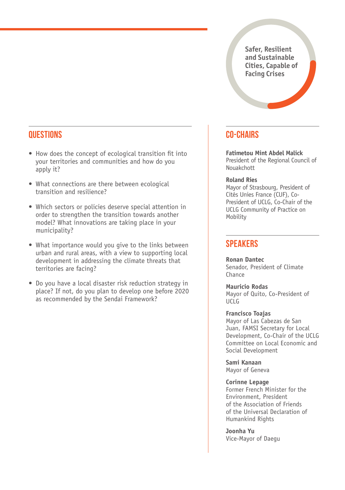**Safer, Resilient and Sustainable Cities, Capable of Facing Crises**

### **QUESTIONS**

- How does the concept of ecological transition fit into your territories and communities and how do you apply it?
- What connections are there between ecological transition and resilience?
- Which sectors or policies deserve special attention in order to strengthen the transition towards another model? What innovations are taking place in your municipality?
- What importance would you give to the links between urban and rural areas, with a view to supporting local development in addressing the climate threats that territories are facing?
- Do you have a local disaster risk reduction strategy in place? If not, do you plan to develop one before 2020 as recommended by the Sendai Framework?

### **CO-CHAIRS**

**Fatimetou Mint Abdel Malick**  President of the Regional Council of Nouakchott

#### **Roland Ries**

Mayor of Strasbourg, President of Cités Unies France (CUF), Co-President of UCLG, Co-Chair of the UCLG Community of Practice on **Mobility** 

### **SPEAKERS**

**Ronan Dantec** Senador, President of Climate Chance

**Mauricio Rodas** Mayor of Quito, Co-President of  $IICLG$ 

#### **Francisco Toajas**

Mayor of Las Cabezas de San Juan, FAMSI Secretary for Local Development, Co-Chair of the UCLG Committee on Local Economic and Social Development

**Sami Kanaan** Mayor of Geneva

#### **Corinne Lepage**

Former French Minister for the Environment, President of the Association of Friends of the Universal Declaration of Humankind Rights

**Joonha Yu** Vice-Mayor of Daegu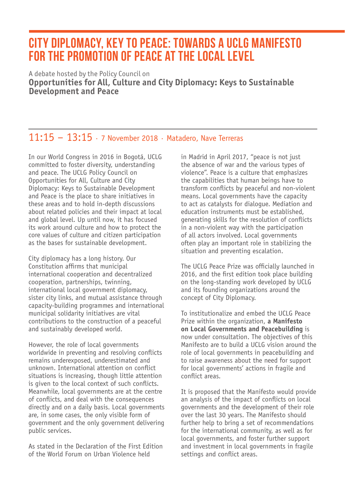# **CITY DIPLOMACY, KEY TO PEACE: TOWARDS A UCLG MANIFESTO FOR THE PROMOTION OF PEACE AT THE LOCAL LEVEL**

A debate hosted by the Policy Council on **Opportunities for All, Culture and City Diplomacy: Keys to Sustainable Development and Peace**

# 11:15 – 13:15 · 7 November 2018 · Matadero, Nave Terreras

In our World Congress in 2016 in Bogotá, UCLG committed to foster diversity, understanding and peace. The UCLG Policy Council on Opportunities for All, Culture and City Diplomacy: Keys to Sustainable Development and Peace is the place to share initiatives in these areas and to hold in-depth discussions about related policies and their impact at local and global level. Up until now, it has focused its work around culture and how to protect the core values of culture and citizen participation as the bases for sustainable development.

City diplomacy has a long history. Our Constitution affirms that municipal international cooperation and decentralized cooperation, partnerships, twinning, international local government diplomacy, sister city links, and mutual assistance through capacity-building programmes and international municipal solidarity initiatives are vital contributions to the construction of a peaceful and sustainably developed world.

However, the role of local governments worldwide in preventing and resolving conflicts remains underexposed, underestimated and unknown. International attention on conflict situations is increasing, though little attention is given to the local context of such conflicts. Meanwhile, local governments are at the centre of conflicts, and deal with the consequences directly and on a daily basis. Local governments are, in some cases, the only visible form of government and the only government delivering public services.

As stated in the Declaration of the First Edition of the World Forum on Urban Violence held

in Madrid in April 2017, "peace is not just the absence of war and the various types of violence". Peace is a culture that emphasizes the capabilities that human beings have to transform conflicts by peaceful and non-violent means. Local governments have the capacity to act as catalysts for dialogue. Mediation and education instruments must be established, generating skills for the resolution of conflicts in a non-violent way with the participation of all actors involved. Local governments often play an important role in stabilizing the situation and preventing escalation.

The UCLG Peace Prize was officially launched in 2016, and the first edition took place building on the long-standing work developed by UCLG and its founding organizations around the concept of City Diplomacy.

To institutionalize and embed the UCLG Peace Prize within the organization, **a Manifesto on Local Governments and Peacebuilding** is now under consultation. The objectives of this Manifesto are to build a UCLG vision around the role of local governments in peacebuilding and to raise awareness about the need for support for local governments' actions in fragile and conflict areas.

It is proposed that the Manifesto would provide an analysis of the impact of conflicts on local governments and the development of their role over the last 30 years. The Manifesto should further help to bring a set of recommendations for the international community, as well as for local governments, and foster further support and investment in local governments in fragile settings and conflict areas.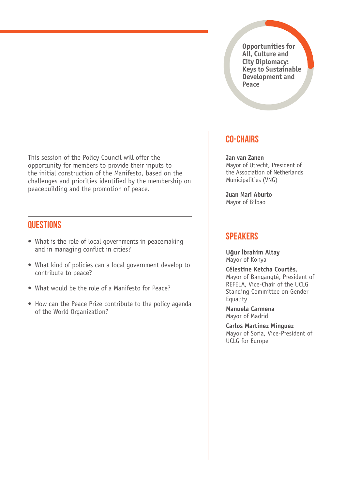**Opportunities for All, Culture and City Diplomacy: Keys to Sustainable Development and Peace**

#### This session of the Policy Council will offer the opportunity for members to provide their inputs to the initial construction of the Manifesto, based on the challenges and priorities identified by the membership on peacebuilding and the promotion of peace.

### **QUESTIONS**

- What is the role of local governments in peacemaking and in managing conflict in cities?
- What kind of policies can a local government develop to contribute to peace?
- What would be the role of a Manifesto for Peace?
- How can the Peace Prize contribute to the policy agenda of the World Organization?

### **CO-CHAIRS**

#### **Jan van Zanen**

Mayor of Utrecht, President of the Association of Netherlands Municipalities (VNG)

**Juan Mari Aburto** Mayor of Bilbao

### **SPEAKERS**

**Uğur İbrahim Altay** Mayor of Konya

**Célestine Ketcha Courtès,**  Mayor of Bangangté, President of REFELA, Vice-Chair of the UCLG Standing Committee on Gender **Equality** 

**Manuela Carmena** Mayor of Madrid

**Carlos Martínez Mínguez** Mayor of Soria, Vice-President of UCLG for Europe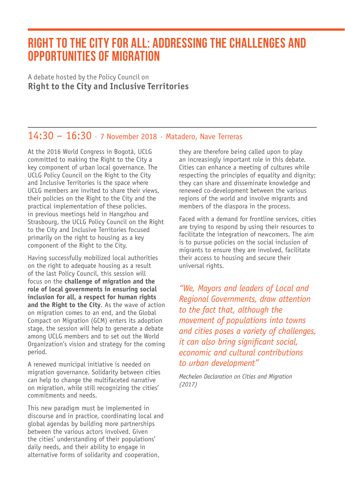# **RIGHT TO THE CITY FOR ALL: ADDRESSING THE CHALLENGES AND OPPORTUNITIES OF MIGRATION**

A debate hosted by the Policy Council on **Right to the City and Inclusive Territories**

# 14:30 – 16:30 · 7 November 2018 · Matadero, Nave Terreras

At the 2016 World Congress in Bogotá, UCLG committed to making the Right to the City a key component of urban local governance. The UCLG Policy Council on the Right to the City and Inclusive Territories is the space where UCLG members are invited to share their views, their policies on the Right to the City and the practical implementation of these policies. in previous meetings held in Hangzhou and Strasbourg, the UCLG Policy Council on the Right to the City and Inclusive Territories focused primarily on the right to housing as a key component of the Right to the City.

Having successfully mobilized local authorities on the right to adequate housing as a result of the last Policy Council, this session will focus on the **challenge of migration and the role of local governments in ensuring social inclusion for all, a respect for human rights and the Right to the City**. As the wave of action on migration comes to an end, and the Global Compact on Migration (GCM) enters its adoption stage, the session will help to generate a debate among UCLG members and to set out the World Organization's vision and strategy for the coming period.

A renewed municipal initiative is needed on migration governance. Solidarity between cities can help to change the multifaceted narrative on migration, while still recognizing the cities' commitments and needs.

This new paradigm must be implemented in discourse and in practice, coordinating local and global agendas by building more partnerships between the various actors involved. Given the cities' understanding of their populations' daily needs, and their ability to engage in alternative forms of solidarity and cooperation,

they are therefore being called upon to play an increasingly important role in this debate. Cities can enhance a meeting of cultures while respecting the principles of equality and dignity; they can share and disseminate knowledge and renewed co-development between the various regions of the world and involve migrants and members of the diaspora in the process.

Faced with a demand for frontline services, cities are trying to respond by using their resources to facilitate the integration of newcomers. The aim is to pursue policies on the social inclusion of migrants to ensure they are involved, facilitate their access to housing and secure their universal rights.

*"We, Mayors and leaders of Local and Regional Governments, draw attention to the fact that, although the movement of populations into towns and cities poses a variety of challenges, it can also bring significant social, economic and cultural contributions to urban development"*

*Mechelen Declaration on Cities and Migration (2017)*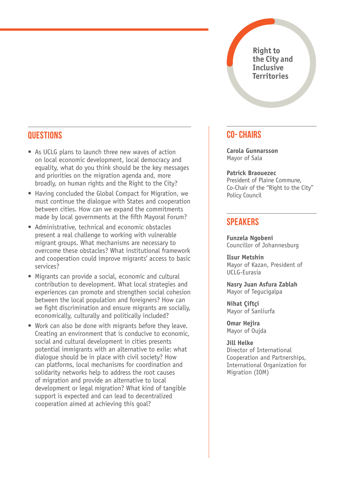**Right to the City and Inclusive Territories**

### **QUESTIONS**

- As UCLG plans to launch three new waves of action on local economic development, local democracy and equality, what do you think should be the key messages and priorities on the migration agenda and, more broadly, on human rights and the Right to the City?
- Having concluded the Global Compact for Migration, we must continue the dialogue with States and cooperation between cities. How can we expand the commitments made by local governments at the fifth Mayoral Forum?
- Administrative, technical and economic obstacles present a real challenge to working with vulnerable migrant groups. What mechanisms are necessary to overcome these obstacles? What institutional framework and cooperation could improve migrants' access to basic services?
- Migrants can provide a social, economic and cultural contribution to development. What local strategies and experiences can promote and strengthen social cohesion between the local population and foreigners? How can we fight discrimination and ensure migrants are socially, economically, culturally and politically included?
- Work can also be done with migrants before they leave. Creating an environment that is conducive to economic, social and cultural development in cities presents potential immigrants with an alternative to exile: what dialogue should be in place with civil society? How can platforms, local mechanisms for coordination and solidarity networks help to address the root causes of migration and provide an alternative to local development or legal migration? What kind of tangible support is expected and can lead to decentralized cooperation aimed at achieving this goal?

### **CO- CHAIRS**

**Carola Gunnarsson** Mayor of Sala

**Patrick Braouezec** President of Plaine Commune, Co-Chair of the "Right to the City" Policy Council

### **SPEAKERS**

**Funzela Ngobeni** Councillor of Johannesburg

**Ilsur Metshin** Mayor of Kazan, President of UCLG-Eurasia

**Nasry Juan Asfura Zablah** Mayor of Tegucigalpa

**Nihat Çiftçi** Mayor of Sanliurfa

**Omar Hejira** Mayor of Oujda

**Jill Helke** Director of International Cooperation and Partnerships, International Organization for Migration (IOM)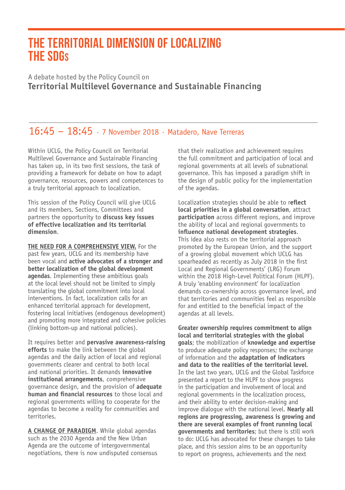# **THE TERRITORIAL DIMENSION OF LOCALIZING THE SDGS**

A debate hosted by the Policy Council on **Territorial Multilevel Governance and Sustainable Financing**

# 16:45 – 18:45 · 7 November 2018 · Matadero, Nave Terreras

Within UCLG, the Policy Council on Territorial Multilevel Governance and Sustainable Financing has taken up, in its two first sessions, the task of providing a framework for debate on how to adapt governance, resources, powers and competences to a truly territorial approach to localization.

This session of the Policy Council will give UCLG and its members, Sections, Committees and partners the opportunity to **discuss key issues of effective localization and its territorial dimension**.

**THE NEED FOR A COMPREHENSIVE VIEW.** For the past few years, UCLG and its membership have been vocal and **active advocates of a stronger and better localization of the global development agendas**. Implementing these ambitious goals at the local level should not be limited to simply translating the global commitment into local interventions. In fact, localization calls for an enhanced territorial approach for development, fostering local initiatives (endogenous development) and promoting more integrated and cohesive policies (linking bottom-up and national policies).

It requires better and **pervasive awareness-raising efforts** to make the link between the global agendas and the daily action of local and regional governments clearer and central to both local and national priorities. It demands **innovative institutional arrangements**, comprehensive governance design, and the provision of **adequate human and financial resources** to those local and regional governments willing to cooperate for the agendas to become a reality for communities and territories.

**A CHANGE OF PARADIGM**. While global agendas such as the 2030 Agenda and the New Urban Agenda are the outcome of intergovernmental negotiations, there is now undisputed consensus that their realization and achievement requires the full commitment and participation of local and regional governments at all levels of subnational governance. This has imposed a paradigm shift in the design of public policy for the implementation of the agendas.

Localization strategies should be able to r**eflect local priorities in a global conversation**, attract **participation** across different regions, and improve the ability of local and regional governments to **influence national development strategies**. This idea also rests on the territorial approach promoted by the European Union, and the support of a growing global movement which UCLG has spearheaded as recently as July 2018 in the first Local and Regional Governments' (LRG) Forum within the 2018 High-Level Political Forum (HLPF). A truly 'enabling environment' for localization demands co-ownership across governance level, and that territories and communities feel as responsible for and entitled to the beneficial impact of the agendas at all levels.

**Greater ownership requires commitment to align local and territorial strategies with the global goals**; the mobilization of **knowledge and expertise** to produce adequate policy responses; the exchange of information and the **adaptation of indicators and data to the realities of the territorial level**. In the last two years, UCLG and the Global Taskforce presented a report to the HLPF to show progress in the participation and involvement of local and regional governments in the localization process, and their ability to enter decision-making and improve dialogue with the national level. **Nearly all regions are progressing, awareness is growing and there are several examples of front running local governments and territories**; but there is still work to do: UCLG has advocated for these changes to take place, and this session aims to be an opportunity to report on progress, achievements and the next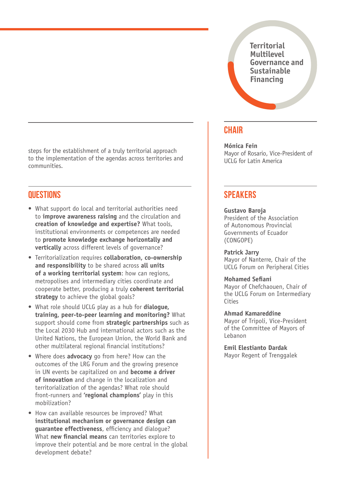**Territorial Multilevel Governance and Sustainable Financing**

steps for the establishment of a truly territorial approach to the implementation of the agendas across territories and communities.

### **QUESTIONS**

- What support do local and territorial authorities need to **improve awareness raising** and the circulation and **creation of knowledge and expertise?** What tools, institutional environments or competences are needed to **promote knowledge exchange horizontally and vertically** across different levels of governance?
- Territorialization requires **collaboration, co-ownership and responsibility** to be shared across **all units of a working territorial system**: how can regions, metropolises and intermediary cities coordinate and cooperate better, producing a truly **coherent territorial**  strategy to achieve the global goals?
- What role should UCLG play as a hub for **dialogue, training, peer-to-peer learning and monitoring?** What support should come from **strategic partnerships** such as the Local 2030 Hub and international actors such as the United Nations, the European Union, the World Bank and other multilateral regional financial institutions?
- Where does **advocacy** go from here? How can the outcomes of the LRG Forum and the growing presence in UN events be capitalized on and **become a driver of innovation** and change in the localization and territorialization of the agendas? What role should front-runners and **'regional champions'** play in this mobilization?
- How can available resources be improved? What **institutional mechanism or governance design can guarantee effectiveness**, efficiency and dialogue? What **new financial means** can territories explore to improve their potential and be more central in the global development debate?

### **CHAIR**

**Mónica Fein** Mayor of Rosario, Vice-President of UCLG for Latin America

### **SPEAKERS**

#### **Gustavo Baroja**

President of the Association of Autonomous Provincial Governments of Ecuador (CONGOPE)

#### **Patrick Jarry**

Mayor of Nanterre, Chair of the UCLG Forum on Peripheral Cities

#### **Mohamed Sefiani**

Mayor of Chefchaouen, Chair of the UCLG Forum on Intermediary Cities

#### **Ahmad Kamareddine**

Mayor of Tripoli, Vice-President of the Committee of Mayors of Lebanon

**Emil Elestianto Dardak** Mayor Regent of Trenggalek